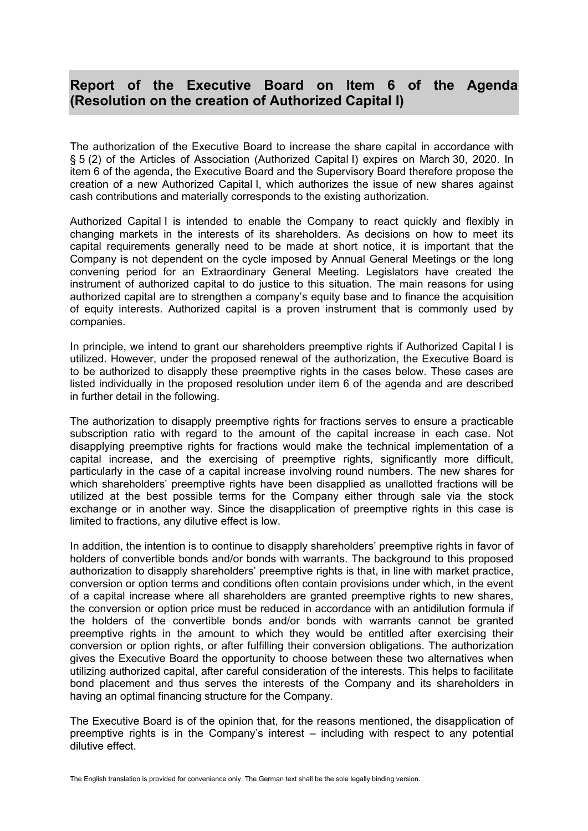## **Report of the Executive Board on Item 6 of the Agenda (Resolution on the creation of Authorized Capital I)**

The authorization of the Executive Board to increase the share capital in accordance with § 5 (2) of the Articles of Association (Authorized Capital I) expires on March 30, 2020. In item 6 of the agenda, the Executive Board and the Supervisory Board therefore propose the creation of a new Authorized Capital I, which authorizes the issue of new shares against cash contributions and materially corresponds to the existing authorization.

Authorized Capital I is intended to enable the Company to react quickly and flexibly in changing markets in the interests of its shareholders. As decisions on how to meet its capital requirements generally need to be made at short notice, it is important that the Company is not dependent on the cycle imposed by Annual General Meetings or the long convening period for an Extraordinary General Meeting. Legislators have created the instrument of authorized capital to do justice to this situation. The main reasons for using authorized capital are to strengthen a company's equity base and to finance the acquisition of equity interests. Authorized capital is a proven instrument that is commonly used by companies.

In principle, we intend to grant our shareholders preemptive rights if Authorized Capital I is utilized. However, under the proposed renewal of the authorization, the Executive Board is to be authorized to disapply these preemptive rights in the cases below. These cases are listed individually in the proposed resolution under item 6 of the agenda and are described in further detail in the following.

The authorization to disapply preemptive rights for fractions serves to ensure a practicable subscription ratio with regard to the amount of the capital increase in each case. Not disapplying preemptive rights for fractions would make the technical implementation of a capital increase, and the exercising of preemptive rights, significantly more difficult, particularly in the case of a capital increase involving round numbers. The new shares for which shareholders' preemptive rights have been disapplied as unallotted fractions will be utilized at the best possible terms for the Company either through sale via the stock exchange or in another way. Since the disapplication of preemptive rights in this case is limited to fractions, any dilutive effect is low.

In addition, the intention is to continue to disapply shareholders' preemptive rights in favor of holders of convertible bonds and/or bonds with warrants. The background to this proposed authorization to disapply shareholders' preemptive rights is that, in line with market practice, conversion or option terms and conditions often contain provisions under which, in the event of a capital increase where all shareholders are granted preemptive rights to new shares, the conversion or option price must be reduced in accordance with an antidilution formula if the holders of the convertible bonds and/or bonds with warrants cannot be granted preemptive rights in the amount to which they would be entitled after exercising their conversion or option rights, or after fulfilling their conversion obligations. The authorization gives the Executive Board the opportunity to choose between these two alternatives when utilizing authorized capital, after careful consideration of the interests. This helps to facilitate bond placement and thus serves the interests of the Company and its shareholders in having an optimal financing structure for the Company.

The Executive Board is of the opinion that, for the reasons mentioned, the disapplication of preemptive rights is in the Company's interest – including with respect to any potential dilutive effect.